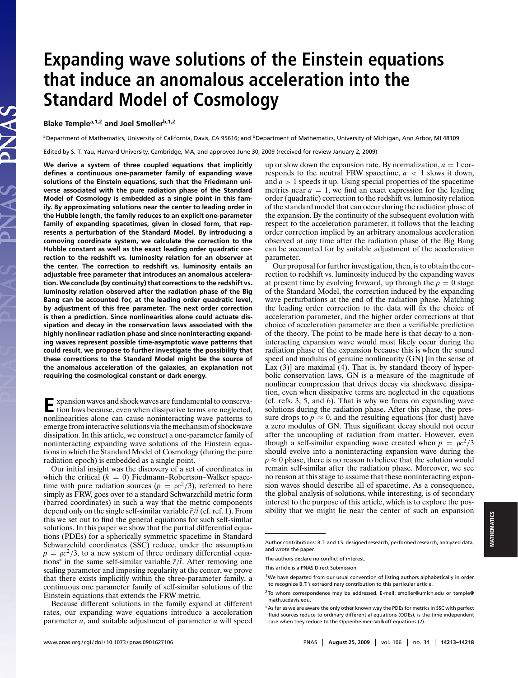# **Expanding wave solutions of the Einstein equations that induce an anomalous acceleration into the Standard Model of Cosmology**

# **Blake Templea,1,2 and Joel Smollerb,1,2**

JAS

aDepartment of Mathematics, University of California, Davis, CA 95616; and <sup>b</sup>Department of Mathematics, University of Michigan, Ann Arbor, MI 48109

Edited by S.-T. Yau, Harvard University, Cambridge, MA, and approved June 30, 2009 (received for review January 2, 2009)

**We derive a system of three coupled equations that implicitly defines a continuous one-parameter family of expanding wave solutions of the Einstein equations, such that the Friedmann universe associated with the pure radiation phase of the Standard Model of Cosmology is embedded as a single point in this family. By approximating solutions near the center to leading order in the Hubble length, the family reduces to an explicit one-parameter family of expanding spacetimes, given in closed form, that represents a perturbation of the Standard Model. By introducing a comoving coordinate system, we calculate the correction to the Hubble constant as well as the exact leading order quadratic correction to the redshift vs. luminosity relation for an observer at the center. The correction to redshift vs. luminosity entails an adjustable free parameter that introduces an anomalous acceleration. We conclude (by continuity)that corrections to the redshift vs. luminosity relation observed after the radiation phase of the Big Bang can be accounted for, at the leading order quadratic level, by adjustment of this free parameter. The next order correction is then a prediction. Since nonlinearities alone could actuate dissipation and decay in the conservation laws associated with the highly nonlinear radiation phase and since noninteracting expanding waves represent possible time-asymptotic wave patterns that could result, we propose to further investigate the possibility that these corrections to the Standard Model might be the source of the anomalous acceleration of the galaxies, an explanation not requiring the cosmological constant or dark energy.**

**E**xpansion waves and shock waves are fundamental to conserva-<br>tion laws because are not in the state of the state of the state of the state of the state of the state of the state of the state of the state of the state of tion laws because, even when dissipative terms are neglected, nonlinearities alone can cause noninteracting wave patterns to emerge from interactive solutions via the mechanism ofshockwave dissipation. In this article, we construct a one-parameter family of noninteracting expanding wave solutions of the Einstein equations in which the Standard Model of Cosmology (during the pure radiation epoch) is embedded as a single point.

Our initial insight was the discovery of a set of coordinates in which the critical  $(k = 0)$  Fiedmann–Robertson–Walker spacetime with pure radiation sources ( $p = \rho c^2/3$ ), referred to here simply as FRW, goes over to a standard Schwarzchild metric form (barred coordinates) in such a way that the metric components depend only on the single self-similar variable  $\bar{r}/\bar{t}$  (cf. ref. 1). From this we set out to find the general equations for such self-similar solutions. In this paper we show that the partial differential equations (PDEs) for a spherically symmetric spacetime in Standard Schwarzchild coordinates (SSC) reduce, under the assumption  $p = \rho c^2/3$ , to a new system of three ordinary differential equations<sup>∗</sup> in the same self-similar variable  $\bar{r}/\bar{t}$ . After removing one scaling parameter and imposing regularity at the center, we prove that there exists implicitly within the three-parameter family, a continuous one parameter family of self-similar solutions of the Einstein equations that extends the FRW metric.

Because different solutions in the family expand at different rates, our expanding wave equations introduce a acceleration parameter *a*, and suitable adjustment of parameter *a* will speed

up or slow down the expansion rate. By normalization,  $a = 1$  corresponds to the neutral FRW spacetime,  $a < 1$  slows it down, and  $a > 1$  speeds it up. Using special properties of the spacetime metrics near  $a = 1$ , we find an exact expression for the leading order (quadratic) correction to the redshift vs. luminosity relation of the standard model that can occur during the radiation phase of the expansion. By the continuity of the subsequent evolution with respect to the acceleration parameter, it follows that the leading order correction implied by an arbitrary anomalous acceleration observed at any time after the radiation phase of the Big Bang can be accounted for by suitable adjustment of the acceleration parameter.

Our proposal for further investigation, then, is to obtain the correction to redshift vs. luminosity induced by the expanding waves at present time by evolving forward, up through the  $p = 0$  stage of the Standard Model, the correction induced by the expanding wave perturbations at the end of the radiation phase. Matching the leading order correction to the data will fix the choice of acceleration parameter, and the higher order corrections at that choice of acceleration parameter are then a verifiable prediction of the theory. The point to be made here is that decay to a noninteracting expansion wave would most likely occur during the radiation phase of the expansion because this is when the sound speed and modulus of genuine nonlinearity (GN) [in the sense of Lax (3)] are maximal (4). That is, by standard theory of hyperbolic conservation laws, GN is a measure of the magnitude of nonlinear compression that drives decay via shockwave dissipation, even when dissipative terms are neglected in the equations (cf. refs. 3, 5, and 6). That is why we focus on expanding wave solutions during the radiation phase. After this phase, the pressure drops to  $p \approx 0$ , and the resulting equations (for dust) have a zero modulus of GN. Thus significant decay should not occur after the uncoupling of radiation from matter. However, even though a self-similar expanding wave created when  $p = \rho c^2/3$ should evolve into a noninteracting expansion wave during the  $p \approx 0$  phase, there is no reason to believe that the solution would remain self-similar after the radiation phase. Moreover, we see no reason at this stage to assume that these noninteracting expansion waves should describe all of spacetime. As a consequence, the global analysis of solutions, while interesting, is of secondary interest to the purpose of this article, which is to explore the possibility that we might lie near the center of such an expansion

Author contributions: B.T. and J.S. designed research, performed research, analyzed data, and wrote the paper.

The authors declare no conflict of interest.

This article is a PNAS Direct Submission.

 $1$ We have departed from our usual convention of listing authors alphabetically in order to recognize B.T.'s extraordinary contribution to this particular article.

<sup>2</sup>To whom correspondence may be addressed. E-mail: smoller@umich.edu or temple@ math.ucdavis.edu.

<sup>∗</sup>As far as we are aware the only other known way the PDEs for metrics in SSC with perfect fluid sources reduce to ordinary differential equations (ODEs), is the time independent case when they reduce to the Oppenheimer–Volkoff equations (2).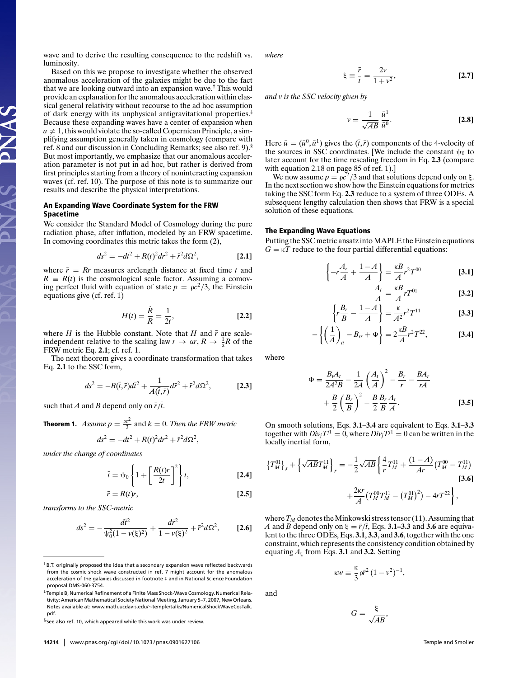wave and to derive the resulting consequence to the redshift vs. luminosity.

Based on this we propose to investigate whether the observed anomalous acceleration of the galaxies might be due to the fact that we are looking outward into an expansion wave.† This would provide an explanation for the anomalous acceleration within classical general relativity without recourse to the ad hoc assumption of dark energy with its unphysical antigravitational properties.‡ Because these expanding waves have a center of expansion when  $a \neq 1$ , this would violate the so-called Copernican Principle, a simplifying assumption generally taken in cosmology (compare with ref. 8 and our discussion in Concluding Remarks; see also ref. 9).§ But most importantly, we emphasize that our anomalous acceleration parameter is not put in ad hoc, but rather is derived from first principles starting from a theory of noninteracting expansion waves (cf. ref. 10). The purpose of this note is to summarize our results and describe the physical interpretations.

# An Expanding Wave Coordinate System for the FRW Spacetime

 $\Delta$ 

ANAS

We consider the Standard Model of Cosmology during the pure radiation phase, after inflation, modeled by an FRW spacetime. In comoving coordinates this metric takes the form (2),

$$
ds^{2} = -dt^{2} + R(t)^{2}dr^{2} + \bar{r}^{2}d\Omega^{2},
$$
 [2.1]

where  $\bar{r} = Rr$  measures arclength distance at fixed time *t* and  $R \equiv R(t)$  is the cosmological scale factor. Assuming a comoving perfect fluid with equation of state  $p = \rho c^2/3$ , the Einstein equations give (cf. ref. 1)

$$
H(t) = \frac{\dot{R}}{R} = \frac{1}{2t},
$$
 [2.2]

where  $H$  is the Hubble constant. Note that  $H$  and  $\bar{r}$  are scaleindependent relative to the scaling law  $r \to \alpha r$ ,  $R \to \frac{1}{\alpha}R$  of the FRW metric Eq. **2.1**; cf. ref. 1.

The next theorem gives a coordinate transformation that takes Eq. **2.1** to the SSC form,

$$
ds^{2} = -B(\bar{t}, \bar{r})d\bar{t}^{2} + \frac{1}{A(\bar{t}, \bar{r})}d\bar{r}^{2} + \bar{r}^{2}d\Omega^{2},
$$
 [2.3]

such that *A* and *B* depend only on  $\bar{r}/\bar{t}$ .

**Theorem 1.** Assume  $p = \frac{ec^2}{3}$  and  $k = 0$ . Then the FRW metric

$$
ds^2 = -dt^2 + R(t)^2 dr^2 + \bar{r}^2 d\Omega^2,
$$

*under the change of coordinates*

$$
\bar{t} = \psi_0 \left\{ 1 + \left[ \frac{R(t)r}{2t} \right]^2 \right\} t, \tag{2.4}
$$

$$
\bar{r} = R(t)r,\tag{2.5}
$$

*transforms to the SSC-metric*

$$
ds^{2} = -\frac{d\bar{t}^{2}}{\psi_{0}^{2}(1 - \nu(\xi)^{2})} + \frac{d\bar{r}^{2}}{1 - \nu(\xi)^{2}} + \bar{r}^{2}d\Omega^{2},
$$
 [2.6]

‡Temple B, Numerical Refinement of a Finite Mass Shock-Wave Cosmology. Numerical Relativity: American Mathematical Society National Meeting, January 5-7, 2007, New Orleans. Notes available at: www.math.ucdavis.edu/∼temple/talks/NumericalShockWaveCosTalk. pdf.

*where*

$$
\xi = \frac{\bar{r}}{\bar{t}} = \frac{2v}{1 + v^2},
$$
 [2.7]

*and v is the SSC velocity given by*

$$
v = \frac{1}{\sqrt{AB}} \frac{\bar{u}^1}{\bar{u}^0}.
$$
 [2.8]

Here  $\bar{u} = (\bar{u}^0, \bar{u}^1)$  gives the  $(\bar{t}, \bar{r})$  components of the 4-velocity of the sources in SSC coordinates. [We include the constant  $\psi_0$  to later account for the time rescaling freedom in Eq. **2.3** (compare with equation 2.18 on page 85 of ref. 1).]

We now assume  $p = \rho c^2/3$  and that solutions depend only on  $\xi$ . In the next section we show how the Einstein equations for metrics taking the SSC form Eq. **2.3** reduce to a system of three ODEs. A subsequent lengthy calculation then shows that FRW is a special solution of these equations.

## The Expanding Wave Equations

Putting the SSC metric ansatz into MAPLE the Einstein equations  $G = \kappa T$  reduce to the four partial differential equations:

$$
\left\{-r\frac{A_r}{A} + \frac{1-A}{A}\right\} = \frac{\kappa}{A}r^2T^{00}
$$
 [3.1]

$$
\frac{A_t}{A} = \frac{\kappa}{A} r T^{01} \tag{3.2}
$$

$$
\left\{r\frac{B_r}{B} - \frac{1-A}{A}\right\} = \frac{\kappa}{A^2}r^2T^{11} \tag{3.3}
$$

$$
-\left\{\left(\frac{1}{A}\right)_t - B_r + \Phi\right\} = 2\frac{\kappa}{A}r^2T^{22},\tag{3.4}
$$

where

and

$$
\Phi = \frac{B_t A_t}{2A^2 B} - \frac{1}{2A} \left(\frac{A_t}{A}\right)^2 - \frac{B_r}{r} - \frac{B A_r}{rA} + \frac{B}{2} \left(\frac{B_r}{B}\right)^2 - \frac{B}{2} \frac{B_r A_r}{B A}.
$$
 [3.5]

On smooth solutions, Eqs. **3.1–3.4** are equivalent to Eqs. **3.1–3.3** together with  $Div_i T^{j1} = 0$ , where  $Div_i T^{j1} = 0$  can be written in the locally inertial form,

$$
\{T_M^{01}\}_f + \left\{\sqrt{AB}T_M^{11}\right\}_r = -\frac{1}{2}\sqrt{AB}\left\{\frac{4}{r}T_M^{11} + \frac{(1-A)}{Ar}\left(T_M^{00} - T_M^{11}\right)\right\}
$$
\n
$$
+ \frac{2\kappa r}{A}\left(T_M^{00}T_M^{11} - \left(T_M^{01}\right)^2\right) - 4rT^{22}\right\},
$$
\n[3.6]

where  $T_M$  denotes the Minkowski stress tensor (11). Assuming that *A* and *B* depend only on  $\xi = \bar{r}/\bar{t}$ , Eqs. **3.1–3.3** and **3.6** are equivalent to the three ODEs, Eqs. **3.1**, **3.3**, and **3.6**, together with the one constraint, which represents the consistency condition obtained by equating  $A_{\xi}$  from Eqs. **3.1** and **3.2**. Setting

$$
\kappa w \equiv \frac{\kappa}{3} \rho \bar{r}^2 (1 - v^2)^{-1},
$$

$$
G=\frac{\xi}{\sqrt{AB}},
$$

<sup>†</sup>B.T. originally proposed the idea that a secondary expansion wave reflected backwards from the cosmic shock wave constructed in ref. 7 might account for the anomalous acceleration of the galaxies discussed in footnote ‡ and in National Science Foundation proposal DMS-060-3754.

<sup>§</sup>See also ref. 10, which appeared while this work was under review.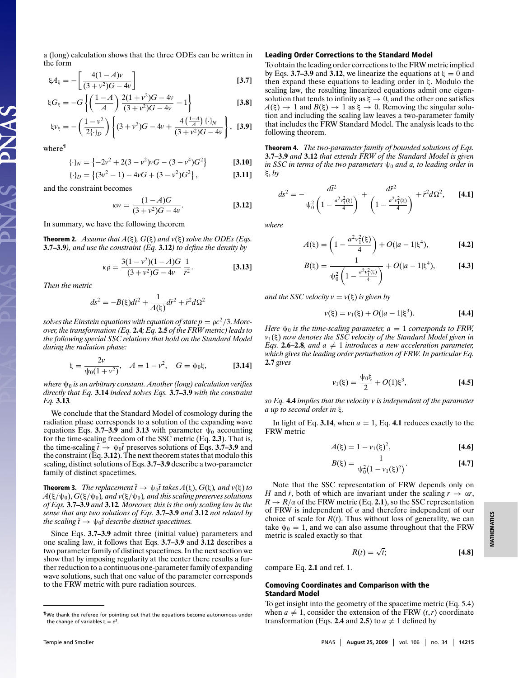a (long) calculation shows that the three ODEs can be written in the form

$$
\xi A_{\xi} = -\left[\frac{4(1-A)v}{(3+v^2)G-4v}\right]
$$
 [3.7]

$$
\xi G_{\xi} = -G \left\{ \left( \frac{1-A}{A} \right) \frac{2(1+v^2)G - 4v}{(3+v^2)G - 4v} - 1 \right\}
$$
 [3.8]

$$
\xi v_{\xi} = -\left(\frac{1 - v^2}{2\{\cdot\}_D}\right) \left\{ (3 + v^2)G - 4v + \frac{4\left(\frac{1 - A}{A}\right)\{\cdot\}_N}{(3 + v^2)G - 4v} \right\}, \quad \textbf{[3.9]}
$$

where¶

PNAS

$$
\{\cdot\}_N = \left\{-2v^2 + 2(3 - v^2)vG - (3 - v^4)G^2\right\} \qquad \textbf{[3.10]}
$$

$$
\{\cdot\}_D = \left\{ (3v^2 - 1) - 4vG + (3 - v^2)G^2 \right\},\tag{3.11}
$$

and the constraint becomes

$$
KW = \frac{(1-A)G}{(3+v^2)G-4v}.
$$
 [3.12]

In summary, we have the following theorem

**Theorem 2.** *Assume that*  $A(\xi)$ *,*  $G(\xi)$  *and*  $v(\xi)$  *solve the ODEs (Eqs.*) **3.7–3.9***), and use the constraint (Eq.* **3.12***) to define the density by*

$$
\kappa \rho = \frac{3(1 - v^2)(1 - A)G}{(3 + v^2)G - 4v} \frac{1}{\bar{r}^2}.
$$
 [3.13]

*Then the metric*

$$
ds^{2} = -B(\xi)d\bar{t}^{2} + \frac{1}{A(\xi)}d\bar{r}^{2} + \bar{r}^{2}d\Omega^{2}
$$

*solves the Einstein equations with equation of state*  $p = \frac{\rho c^2}{3}$ *. Moreover, the transformation (Eq.* **2.4***; Eq.* **2.5** *of the FRW metric)leads to the following special SSC relations that hold on the Standard Model during the radiation phase:*

$$
\xi = \frac{2v}{\psi_0(1+v^2)}, \quad A = 1-v^2, \quad G = \psi_0 \xi,
$$
 [3.14]

*where* ψ<sup>0</sup> *is an arbitrary constant. Another (long) calculation verifies directly that Eq.* **3.14** *indeed solves Eqs.* **3.7–3.9** *with the constraint Eq.* **3.13***.*

We conclude that the Standard Model of cosmology during the radiation phase corresponds to a solution of the expanding wave equations Eqs. **3.7–3.9** and **3.13** with parameter  $\psi_0$  accounting for the time-scaling freedom of the SSC metric (Eq. **2.3**). That is, the time-scaling  $\bar{t} \rightarrow \psi_0 \bar{t}$  preserves solutions of Eqs. 3.7–3.9 and the constraint  $(Eq. 3.12)$ . The next theorem states that modulo this scaling, distinct solutions of Eqs. **3.7–3.9** describe a two-parameter family of distinct spacetimes.

**Theorem 3.** *The replacement*  $\bar{t} \to \psi_0 \bar{t}$  *takes*  $A(\xi)$ ,  $G(\xi)$ *, and*  $v(\xi)$  *to*  $A(\xi/\psi_0), G(\xi/\psi_0)$ , and  $v(\xi/\psi_0)$ , and this scaling preserves solutions *of Eqs.* **3.7–3.9** *and* **3.12***. Moreover, this is the only scaling law in the sense that any two solutions of Eqs.* **3.7–3.9** *and* **3.12** *not related by the scaling*  $\bar{t} \rightarrow \psi_0 \bar{t}$  *describe distinct spacetimes.* 

Since Eqs. **3.7–3.9** admit three (initial value) parameters and one scaling law, it follows that Eqs. **3.7–3.9** and **3.12** describes a two parameter family of distinct spacetimes. In the next section we show that by imposing regularity at the center there results a further reduction to a continuous one-parameter family of expanding wave solutions, such that one value of the parameter corresponds to the FRW metric with pure radiation sources.

## Leading Order Corrections to the Standard Model

To obtain the leading order corrections to the FRW metric implied by Eqs. **3.7–3.9** and **3.12**, we linearize the equations at  $\xi = 0$  and then expand these equations to leading order in ξ. Modulo the scaling law, the resulting linearized equations admit one eigensolution that tends to infinity as  $\xi \to 0$ , and the other one satisfies  $A(\xi) \rightarrow 1$  and  $B(\xi) \rightarrow 1$  as  $\xi \rightarrow 0$ . Removing the singular solution and including the scaling law leaves a two-parameter family that includes the FRW Standard Model. The analysis leads to the following theorem.

Theorem 4. *The two-parameter family of bounded solutions of Eqs.* **3.7–3.9** *and* **3.12** *that extends FRW of the Standard Model is given*  $\int$ *in SSC in terms of the two parameters*  $\psi_0$  *and a, to leading order in* ξ, *by*

$$
ds^{2} = -\frac{d\bar{t}^{2}}{\psi_{0}^{2}\left(1 - \frac{a^{2}v_{1}^{2}(\xi)}{4}\right)} + \frac{d\bar{r}^{2}}{\left(1 - \frac{a^{2}v_{1}^{2}(\xi)}{4}\right)} + \bar{r}^{2}d\Omega^{2}, \qquad \text{[4.1]}
$$

*where*

$$
A(\xi) = \left(1 - \frac{a^2 v_1^2(\xi)}{4}\right) + O(|a - 1|\xi^4),
$$
 [4.2]

$$
B(\xi) = \frac{1}{\psi_0^2 \left(1 - \frac{a^2 v_1^2(\xi)}{4}\right)} + O(|a - 1|\xi^4),
$$
 [4.3]

*and the SSC velocity*  $v = v(\xi)$  *is given by* 

$$
v(\xi) = v_1(\xi) + O(|a - 1|\xi^3). \tag{4.4}
$$

*Here*  $\psi_0$  *is the time-scaling parameter,*  $a = 1$  *corresponds to FRW, v*1(ξ) *now denotes the SSC velocity of the Standard Model given in Eqs.* **2.6–2.8***, and*  $a \neq 1$  *introduces a new acceleration parameter, which gives the leading order perturbation of FRW. In particular Eq.* **2.7** *gives*

$$
v_1(\xi) = \frac{\psi_0 \xi}{2} + O(1)\xi^3, \tag{4.5}
$$

*so Eq.* **4.4** *implies that the velocity v is independent of the parameter a up to second order in* ξ*.*

In light of Eq. 3.14, when  $a = 1$ , Eq. 4.1 reduces exactly to the FRW metric

$$
A(\xi) = 1 - v_1(\xi)^2,
$$
 [4.6]

$$
B(\xi) = \frac{1}{\psi_0^2 (1 - \nu_1(\xi)^2)}.
$$
 [4.7]

Note that the SSC representation of FRW depends only on *H* and  $\bar{r}$ , both of which are invariant under the scaling  $r \rightarrow \alpha r$ ,  $R \rightarrow R/\alpha$  of the FRW metric (Eq. 2.1), so the SSC representation of FRW is independent of  $\alpha$  and therefore independent of our choice of scale for  $R(t)$ . Thus without loss of generality, we can take  $\psi_0 = 1$ , and we can also assume throughout that the FRW metric is scaled exactly so that

$$
R(t) = \sqrt{t};\tag{4.8}
$$

compare Eq. **2.1** and ref. 1.

# Comoving Coordinates and Comparison with the Standard Model

To get insight into the geometry of the spacetime metric (Eq. 5.4) when  $a \neq 1$ , consider the extension of the FRW  $(t, r)$  coordinate transformation (Eqs. 2.4 and 2.5) to  $a \neq 1$  defined by

<sup>¶</sup>We thank the referee for pointing out that the equations become autonomous under the change of variables  $\xi = e^s$ .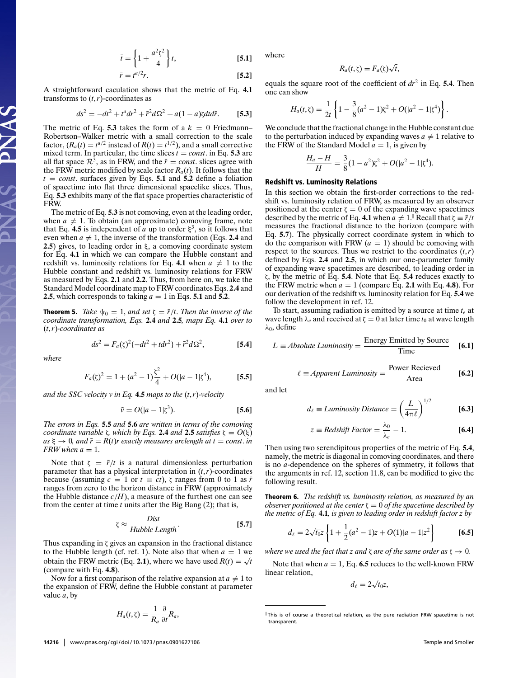$$
\bar{t} = \left\{ 1 + \frac{a^2 \zeta^2}{4} \right\} t, \tag{5.1}
$$

$$
\bar{r} = t^{a/2}r. \tag{5.2}
$$

A straightforward caculation shows that the metric of Eq. **4.1** transforms to  $(t, r)$ -coordinates as

$$
ds^{2} = -dt^{2} + t^{a}dr^{2} + \bar{r}^{2}d\Omega^{2} + a(1-a)\zeta dt d\bar{r}.
$$
 [5.3]

The metric of Eq. **5.3** takes the form of a  $k = 0$  Friedmann– Robertson–Walker metric with a small correction to the scale factor,  $(R_a(t)) = t^{a/2}$  instead of  $R(t) = t^{1/2}$ , and a small corrective mixed term. In particular, the time slices  $t = const$ . in Eq. **5.3** are all flat space  $\mathbb{R}^3$ , as in FRW, and the  $\bar{r} = const$ . slices agree with the FRW metric modified by scale factor  $R_a(t)$ . It follows that the  $t = const.$  surfaces given by Eqs. **5.1** and **5.2** define a foliation of spacetime into flat three dimensional spacelike slices. Thus, Eq. **5.3** exhibits many of the flat space properties characteristic of FRW.

The metric of Eq. **5.3** is not comoving, even at the leading order, when  $a \neq 1$ . To obtain (an approximate) comoving frame, note that Eq. 4.5 is independent of *a* up to order  $\xi^3$ , so it follows that even when  $a \neq 1$ , the inverse of the transformation (Eqs. 2.4 and **2.5**) gives, to leading order in ξ, a comoving coordinate system for Eq. **4.1** in which we can compare the Hubble constant and redshift vs. luminosity relations for Eq. 4.1 when  $a \neq 1$  to the Hubble constant and redshift vs. luminosity relations for FRW as measured by Eqs. **2.1** and **2.2**. Thus, from here on, we take the Standard Model coordinate map to FRW coordinates Eqs. **2.4** and **2.5**, which corresponds to taking  $a = 1$  in Eqs. **5.1** and **5.2**.

**Theorem 5.** *Take*  $\psi_0 = 1$ *, and set*  $\zeta = \bar{r}/t$ *. Then the inverse of the coordinate transformation, Eqs.* **2.4** *and* **2.5***, maps Eq.* **4.1** *over to* (*t*, *r*)*-coordinates as*

$$
ds^{2} = F_{a}(\zeta)^{2}\{-dt^{2} + tdr^{2}\} + \bar{r}^{2}d\Omega^{2},
$$
 [5.4]

*where*

PNAS

$$
F_a(\zeta)^2 = 1 + (a^2 - 1)\frac{\zeta^2}{4} + O(|a - 1|\zeta^4),
$$
 [5.5]

*and the SSC velocity v in Eq.* **4.5** *maps to the* (*t*, *r*)*-velocity*

$$
\tilde{v} = O(|a-1|\zeta^3). \tag{5.6}
$$

*The errors in Eqs.* **5.5** *and* **5.6** *are written in terms of the comoving coordinate variable ζ, which by Eqs.* **2.4** *and* **2.5** *satisfies*  $\zeta = O(\xi)$  $as \xi \rightarrow 0$ , and  $\bar{r} = R(t)r$  *exactly measures arclength at*  $t = const$ *. in FRW* when  $a = 1$ .

Note that  $\zeta = \bar{r}/t$  is a natural dimensionless perturbation parameter that has a physical interpretation in  $(t, r)$ -coordinates because (assuming *c* = 1 or *t*  $\equiv ct$ ), *ζ* ranges from 0 to 1 as  $\bar{r}$ ranges from zero to the horizon distance in FRW (approximately the Hubble distance  $c/H$ ), a measure of the furthest one can see from the center at time *t* units after the Big Bang (2); that is,

$$
\zeta \approx \frac{Dist}{Hubble Length}.\tag{5.7}
$$

Thus expanding in ζ gives an expansion in the fractional distance to the Hubble length (cf. ref. 1). Note also that when  $a = 1$  we obtain the FRW metric (Eq. 2.1), where we have used  $R(t) = \sqrt{t}$ (compare with Eq. **4.8**).

Now for a first comparison of the relative expansion at  $a \neq 1$  to the expansion of FRW, define the Hubble constant at parameter value *a*, by

$$
H_a(t,\zeta)=\frac{1}{R_a}\frac{\partial}{\partial t}R_a,
$$

where

$$
R_a(t,\zeta)=F_a(\zeta)\sqrt{t},
$$

equals the square root of the coefficient of  $dr^2$  in Eq. **5.4**. Then one can show

$$
H_a(t,\zeta) = \frac{1}{2t} \left\{ 1 - \frac{3}{8} (a^2 - 1)\zeta^2 + O(|a^2 - 1|\zeta^4) \right\}.
$$

We conclude that the fractional change in the Hubble constant due to the perturbation induced by expanding waves  $a \neq 1$  relative to the FRW of the Standard Model  $a = 1$ , is given by

$$
\frac{H_a - H}{H} = \frac{3}{8}(1 - a^2)\zeta^2 + O(|a^2 - 1|\zeta^4).
$$

#### Redshift vs. Luminosity Relations

In this section we obtain the first-order corrections to the redshift vs. luminosity relation of FRW, as measured by an observer positioned at the center  $\zeta = 0$  of the expanding wave spacetimes described by the metric of Eq. **4.1** when  $a \neq 1$ .<sup>||</sup> Recall that  $\zeta = \bar{r}/t$ measures the fractional distance to the horizon (compare with Eq. **5.7**). The physically correct coordinate system in which to do the comparison with FRW  $(a = 1)$  should be comoving with respect to the sources. Thus we restrict to the coordinates  $(t, r)$ defined by Eqs. **2.4** and **2.5**, in which our one-parameter family of expanding wave spacetimes are described, to leading order in ζ, by the metric of Eq. **5.4**. Note that Eq. **5.4** reduces exactly to the FRW metric when  $a = 1$  (compare Eq. 2.1 with Eq. 4.8). For our derivation of the redshift vs. luminosity relation for Eq. **5.4** we follow the development in ref. 12.

To start, assuming radiation is emitted by a source at time *te* at wave length  $\lambda_e$  and received at  $\zeta = 0$  at later time  $t_0$  at wave length  $λ_0$ , define

$$
L \equiv Absolute\;Luminosity = \frac{\text{Energy Emitted by Source}}{\text{Time}} \quad [6.1]
$$

$$
\ell \equiv \text{Apparent Luminosity} = \frac{\text{Power Recieved}}{\text{Area}} \qquad \text{[6.2]}
$$

and let

$$
d_{\ell} \equiv Luminosity Distance = \left(\frac{L}{4\pi\ell}\right)^{1/2}
$$
 [6.3]

$$
z \equiv Redshift Factor = \frac{\lambda_0}{\lambda_e} - 1.
$$
 [6.4]

Then using two serendipitous properties of the metric of Eq. **5.4**, namely, the metric is diagonal in comoving coordinates, and there is no *a*-dependence on the spheres of symmetry, it follows that the arguments in ref. 12, section 11.8, can be modified to give the following result.

Theorem 6. *The redshift vs. luminosity relation, as measured by an observer positioned* at the center  $\zeta = 0$  *of the spacetime described by the metric of Eq.* **4.1***, is given to leading order in redshift factor z by*

$$
d_{\ell} = 2\sqrt{t_0}z \left\{ 1 + \frac{1}{2}(a^2 - 1)z + O(1)|a - 1|z^2 \right\}
$$
 [6.5]

*where we used the fact that z and*  $\zeta$  *are of the same order as*  $\zeta \rightarrow 0$ *.* 

Note that when  $a = 1$ , Eq. 6.5 reduces to the well-known FRW linear relation,

 $d_{\ell} = 2\sqrt{t_0}z,$ 

 $\|$ This is of course a theoretical relation, as the pure radiation FRW spacetime is not transparent.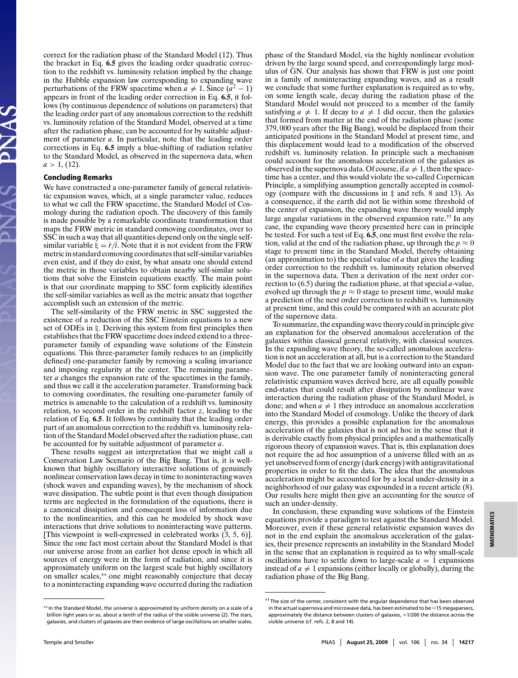correct for the radiation phase of the Standard Model (12). Thus the bracket in Eq. **6.5** gives the leading order quadratic correction to the redshift vs. luminosity relation implied by the change in the Hubble expansion law corresponding to expanding wave perturbations of the FRW spacetime when  $a \neq 1$ . Since  $(a^2 - 1)$ appears in front of the leading order correction in Eq. **6.5**, it follows (by continuous dependence of solutions on parameters) that the leading order part of any anomalous correction to the redshift vs. luminosity relation of the Standard Model, observed at a time after the radiation phase, can be accounted for by suitable adjustment of parameter *a*. In particular, note that the leading order corrections in Eq. **6.5** imply a blue-shifting of radiation relative to the Standard Model, as observed in the supernova data, when  $a > 1$ , (12).

### Concluding Remarks

We have constructed a one-parameter family of general relativistic expansion waves, which, at a single parameter value, reduces to what we call the FRW spacetime, the Standard Model of Cosmology during the radiation epoch. The discovery of this family is made possible by a remarkable coordinate transformation that maps the FRW metric in standard comoving coordinates, over to SSC in such a way that all quantities depend only on the single selfsimilar variable  $\xi = \bar{r}/\bar{t}$ . Note that it is not evident from the FRW metric in standard comoving coordinatesthatself-similar variables even exist, and if they do exist, by what ansatz one should extend the metric in those variables to obtain nearby self-similar solutions that solve the Einstein equations exactly. The main point is that our coordinate mapping to SSC form explicitly identifies the self-similar variables as well as the metric ansatz that together accomplish such an extension of the metric.

The self-similarity of the FRW metric in SSC suggested the existence of a reduction of the SSC Einstein equations to a new set of ODEs in ξ. Deriving this system from first principles then establishes that the FRW spacetime does indeed extend to a threeparameter family of expanding wave solutions of the Einstein equations. This three-parameter family reduces to an (implicitly defined) one-parameter family by removing a scaling invariance and imposing regularity at the center. The remaining parameter *a* changes the expansion rate of the spacetimes in the family, and thus we call it the acceleration parameter. Transforming back to comoving coordinates, the resulting one-parameter family of metrics is amenable to the calculation of a redshift vs. luminosity relation, to second order in the redshift factor *z*, leading to the relation of Eq. **6.5**. It follows by continuity that the leading order part of an anomalous correction to the redshift vs. luminosity relation of the Standard Model observed after the radiation phase, can be accounted for by suitable adjustment of parameter *a*.

These results suggest an interpretation that we might call a Conservation Law Scenario of the Big Bang. That is, it is wellknown that highly oscillatory interactive solutions of genuinely nonlinear conservation laws decay in time to noninteracting waves (shock waves and expanding waves), by the mechanism of shock wave dissipation. The subtle point is that even though dissipation terms are neglected in the formulation of the equations, there is a canonical dissipation and consequent loss of information due to the nonlinearities, and this can be modeled by shock wave interactions that drive solutions to noninteracting wave patterns. [This viewpoint is well-expressed in celebrated works (3, 5, 6)]. Since the one fact most certain about the Standard Model is that our universe arose from an earlier hot dense epoch in which all sources of energy were in the form of radiation, and since it is approximately uniform on the largest scale but highly oscillatory on smaller scales,∗∗ one might reasonably conjecture that decay to a noninteracting expanding wave occurred during the radiation

phase of the Standard Model, via the highly nonlinear evolution driven by the large sound speed, and correspondingly large modulus of GN. Our analysis has shown that FRW is just one point in a family of noninteracting expanding waves, and as a result we conclude that some further explanation is required as to why, on some length scale, decay during the radiation phase of the Standard Model would not proceed to a member of the family satisfying  $a \neq 1$ . If decay to  $a \neq 1$  did occur, then the galaxies that formed from matter at the end of the radiation phase (some 379, 000 years after the Big Bang), would be displaced from their anticipated positions in the Standard Model at present time, and this displacement would lead to a modification of the observed redshift vs. luminosity relation. In principle such a mechanism could account for the anomalous acceleration of the galaxies as observed in the supernova data. Of course, if  $a \neq 1$ , then the spacetime has a center, and this would violate the so-called Copernican Principle, a simplifying assumption generally accepted in cosmology (compare with the discussions in  $\ddagger$  and refs. 8 and 13). As a consequence, if the earth did not lie within some threshold of the center of expansion, the expanding wave theory would imply large angular variations in the observed expansion rate.†† In any case, the expanding wave theory presented here can in principle be tested. For such a test of Eq. **6.5**, one must first evolve the relation, valid at the end of the radiation phase, up through the  $p \approx 0$ stage to present time in the Standard Model, thereby obtaining (an approximation to) the special value of *a* that gives the leading order correction to the redshift vs. luminosity relation observed in the supernova data. Then a derivation of the next order correction to (6.5) during the radiation phase, at that special *a*-value, evolved up through the  $p \approx 0$  stage to present time, would make a prediction of the next order correction to redshift vs. luminosity at present time, and this could be compared with an accurate plot of the supernove data.

To summarize, the expanding wave theory could in principle give an explanation for the observed anomalous acceleration of the galaxies within classical general relativity, with classical sources. In the expanding wave theory, the so-called anomalous acceleration is not an acceleration at all, but is a correction to the Standard Model due to the fact that we are looking outward into an expansion wave. The one parameter family of noninteracting general relativistic expansion waves derived here, are all equally possible end-states that could result after dissipation by nonlinear wave interaction during the radiation phase of the Standard Model, is done; and when  $a \neq 1$  they introduce an anomalous acceleration into the Standard Model of cosmology. Unlike the theory of dark energy, this provides a possible explanation for the anomalous acceleration of the galaxies that is not ad hoc in the sense that it is derivable exactly from physical principles and a mathematically rigorous theory of expansion waves. That is, this explanation does not require the ad hoc assumption of a universe filled with an as yet unobserved form of energy (dark energy) with antigravitational properties in order to fit the data. The idea that the anomalous acceleration might be accounted for by a local under-density in a neighborhood of our galaxy was expounded in a recent article (8). Our results here might then give an accounting for the source of such an under-density.

In conclusion, these expanding wave solutions of the Einstein equations provide a paradigm to test against the Standard Model. Moreover, even if these general relativistic expansion waves do not in the end explain the anomalous acceleration of the galaxies, their presence represents an instability in the Standard Model in the sense that an explanation is required as to why small-scale oscillations have to settle down to large-scale  $a = 1$  expansions instead of  $a \neq 1$  expansions (either locally or globally), during the radiation phase of the Big Bang.

<sup>∗∗</sup> In the Standard Model, the universe is approximated by uniform density on a scale of a billion light years or so, about a tenth of the radius of the visible universe (2). The stars, galaxies, and clusters of galaxies are then evidence of large oscillations on smaller scales.

<sup>&</sup>lt;sup>††</sup>The size of the center, consistent with the angular dependence that has been observed in the actual supernova and microwave data, has been estimated to be ≈15 megaparsecs, approximately the distance between clusters of galaxies, ≈1/200 the distance across the visible universe (cf. refs. 2, 8 and 14).